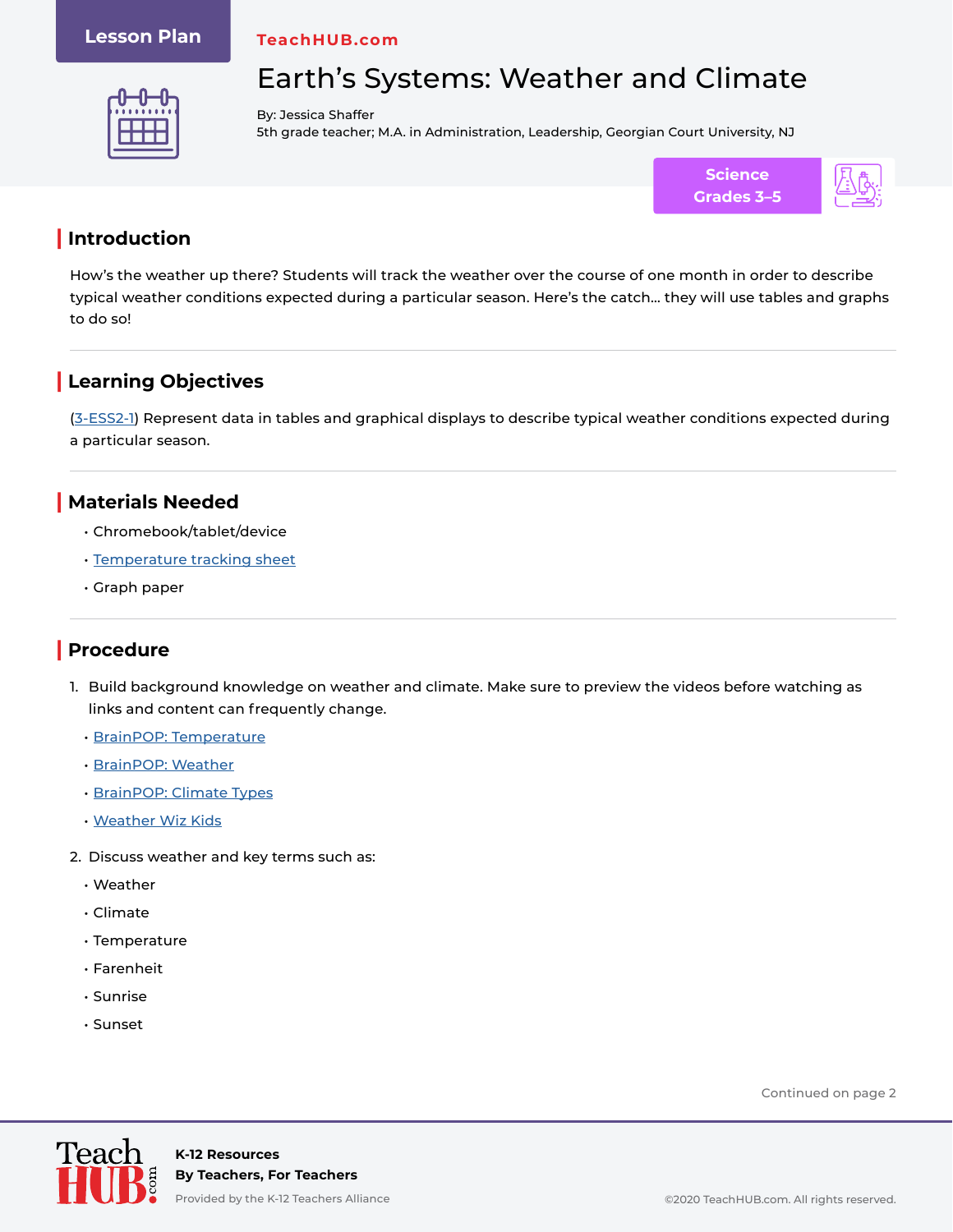### **Lesson Plan**

**TeachHUB.com**



# Earth's Systems: Weather and Climate

By: Jessica Shaffer 5th grade teacher; M.A. in Administration, Leadership, Georgian Court University, NJ



## **| Introduction**

How's the weather up there? Students will track the weather over the course of one month in order to describe typical weather conditions expected during a particular season. Here's the catch… they will use tables and graphs to do so!

# **| Learning Objectives**

[\(3-ESS2-1](https://www.nextgenscience.org/pe/3-ess2-1-earths-systems)) Represent data in tables and graphical displays to describe typical weather conditions expected during a particular season.

### **| Materials Needed**

- Chromebook/tablet/device
- [Temperature tracking sheet](https://www.teachhub.com/wp-content/uploads/2020/11/Temperature-Tracker-Sheet.pdf)
- Graph paper

# **| Procedure**

- 1. Build background knowledge on weather and climate. Make sure to preview the videos before watching as links and content can frequently change.
	- [BrainPOP: Temperature](https://www.brainpop.com/science/energy/temperature/)
	- [BrainPOP: Weather](https://www.brainpop.com/science/weather/weather/)
	- [BrainPOP: Climate Types](https://www.brainpop.com/science/weather/climatetypes/)
	- [Weather Wiz Kids](https://www.weatherwizkids.com/)
- 2. Discuss weather and key terms such as:
	- Weather
	- Climate
	- Temperature
	- Farenheit
	- Sunrise
	- Sunset

Continued on page 2